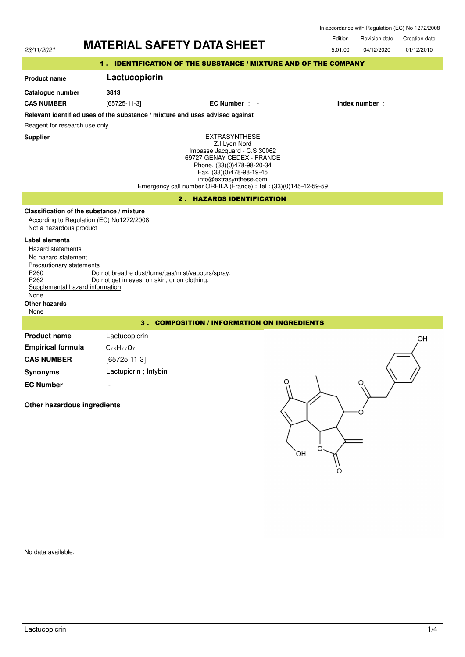|                                                                                                                                                                                                 | <b>MATERIAL SAFETY DATA SHEET</b>                                                                                                                                                                                                                            | Edition<br><b>Creation date</b><br>Revision date |  |  |
|-------------------------------------------------------------------------------------------------------------------------------------------------------------------------------------------------|--------------------------------------------------------------------------------------------------------------------------------------------------------------------------------------------------------------------------------------------------------------|--------------------------------------------------|--|--|
| 23/11/2021                                                                                                                                                                                      |                                                                                                                                                                                                                                                              | 5.01.00<br>04/12/2020<br>01/12/2010              |  |  |
| 1 . IDENTIFICATION OF THE SUBSTANCE / MIXTURE AND OF THE COMPANY                                                                                                                                |                                                                                                                                                                                                                                                              |                                                  |  |  |
| <b>Product name</b>                                                                                                                                                                             | Lactucopicrin<br>÷.                                                                                                                                                                                                                                          |                                                  |  |  |
| Catalogue number                                                                                                                                                                                | : 3813                                                                                                                                                                                                                                                       |                                                  |  |  |
| <b>CAS NUMBER</b>                                                                                                                                                                               | $[65725-11-3]$<br>$EC$ Number : $-$                                                                                                                                                                                                                          | Index number:                                    |  |  |
|                                                                                                                                                                                                 | Relevant identified uses of the substance / mixture and uses advised against                                                                                                                                                                                 |                                                  |  |  |
| Reagent for research use only                                                                                                                                                                   |                                                                                                                                                                                                                                                              |                                                  |  |  |
| <b>Supplier</b>                                                                                                                                                                                 | <b>EXTRASYNTHESE</b><br>Z.I Lyon Nord<br>Impasse Jacquard - C.S 30062<br>69727 GENAY CEDEX - FRANCE<br>Phone. (33)(0)478-98-20-34<br>Fax. (33)(0)478-98-19-45<br>info@extrasynthese.com<br>Emergency call number ORFILA (France) : Tel : (33)(0)145-42-59-59 |                                                  |  |  |
| <b>2. HAZARDS IDENTIFICATION</b>                                                                                                                                                                |                                                                                                                                                                                                                                                              |                                                  |  |  |
| Not a hazardous product                                                                                                                                                                         | Classification of the substance / mixture<br>According to Regulation (EC) No1272/2008                                                                                                                                                                        |                                                  |  |  |
| <b>Label elements</b><br><b>Hazard statements</b><br>No hazard statement<br>Precautionary statements<br>P260<br>P262<br>Supplemental hazard information<br>None<br><b>Other hazards</b><br>None | Do not breathe dust/fume/gas/mist/vapours/spray.<br>Do not get in eyes, on skin, or on clothing.                                                                                                                                                             |                                                  |  |  |
|                                                                                                                                                                                                 | 3. COMPOSITION / INFORMATION ON INGREDIENTS                                                                                                                                                                                                                  |                                                  |  |  |
| <b>Product name</b>                                                                                                                                                                             | : Lactucopicrin                                                                                                                                                                                                                                              | OH                                               |  |  |
| <b>Empirical formula</b>                                                                                                                                                                        | $C_{23}H_{22}O_7$                                                                                                                                                                                                                                            |                                                  |  |  |
| <b>CAS NUMBER</b>                                                                                                                                                                               | $[65725-11-3]$                                                                                                                                                                                                                                               |                                                  |  |  |
| <b>Synonyms</b>                                                                                                                                                                                 | : Lactupicrin ; Intybin                                                                                                                                                                                                                                      |                                                  |  |  |
| <b>EC Number</b>                                                                                                                                                                                | O<br>$\sim$ $-$                                                                                                                                                                                                                                              | $\circ$                                          |  |  |
| Other hazardous ingredients                                                                                                                                                                     | OH                                                                                                                                                                                                                                                           |                                                  |  |  |

No data available.

\ا<br>0

In accordance with Regulation (EC) No 1272/2008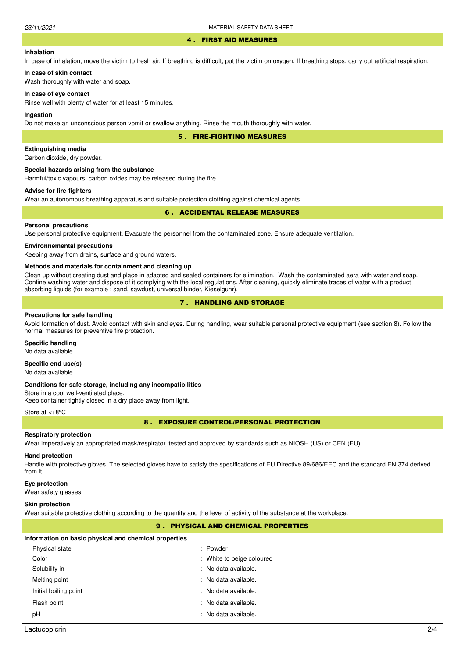#### 4 . FIRST AID MEASURES

# **Inhalation**

In case of inhalation, move the victim to fresh air. If breathing is difficult, put the victim on oxygen. If breathing stops, carry out artificial respiration.

# **In case of skin contact**

Wash thoroughly with water and soap.

#### **In case of eye contact**

Rinse well with plenty of water for at least 15 minutes.

# **Ingestion**

Do not make an unconscious person vomit or swallow anything. Rinse the mouth thoroughly with water.

5 . FIRE-FIGHTING MEASURES

# **Extinguishing media**

Carbon dioxide, dry powder.

#### **Special hazards arising from the substance**

Harmful/toxic vapours, carbon oxides may be released during the fire.

# **Advise for fire-fighters**

Wear an autonomous breathing apparatus and suitable protection clothing against chemical agents.

# 6 . ACCIDENTAL RELEASE MEASURES

# **Personal precautions**

Use personal protective equipment. Evacuate the personnel from the contaminated zone. Ensure adequate ventilation.

# **Environnemental precautions**

Keeping away from drains, surface and ground waters.

#### **Methods and materials for containment and cleaning up**

Clean up without creating dust and place in adapted and sealed containers for elimination. Wash the contaminated aera with water and soap. Confine washing water and dispose of it complying with the local regulations. After cleaning, quickly eliminate traces of water with a product absorbing liquids (for example : sand, sawdust, universal binder, Kieselguhr).

# 7 . HANDLING AND STORAGE

### **Precautions for safe handling**

Avoid formation of dust. Avoid contact with skin and eyes. During handling, wear suitable personal protective equipment (see section 8). Follow the normal measures for preventive fire protection.

### **Specific handling**

No data available.

# **Specific end use(s)**

No data available

#### **Conditions for safe storage, including any incompatibilities**

Store in a cool well-ventilated place. Keep container tightly closed in a dry place away from light.

#### Store at <+8°C

8 . EXPOSURE CONTROL/PERSONAL PROTECTION

#### **Respiratory protection**

Wear imperatively an appropriated mask/respirator, tested and approved by standards such as NIOSH (US) or CEN (EU).

# **Hand protection**

Handle with protective gloves. The selected gloves have to satisfy the specifications of EU Directive 89/686/EEC and the standard EN 374 derived from it.

#### **Eye protection**

Wear safety glasses.

#### **Skin protection**

Wear suitable protective clothing according to the quantity and the level of activity of the substance at the workplace.

# 9 . PHYSICAL AND CHEMICAL PROPERTIES

#### **Information on basic physical and chemical properties**

| Physical state        | : Powder                  |
|-----------------------|---------------------------|
| Color                 | : White to beige coloured |
| Solubility in         | : No data available.      |
| Melting point         | : No data available.      |
| Initial boiling point | : No data available.      |
| Flash point           | : No data available.      |
| рH                    | : No data available.      |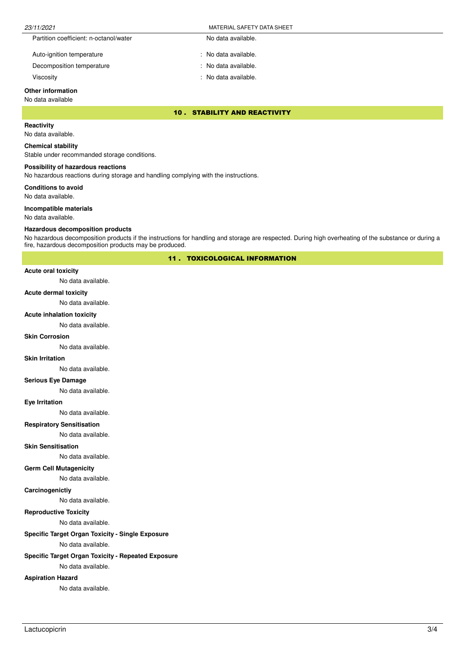| 23/11/2021                             | MATERIAL SAFETY DATA SHEET |
|----------------------------------------|----------------------------|
| Partition coefficient: n-octanol/water | No data available.         |
| Auto-ignition temperature              | : No data available.       |

Decomposition temperature No data available.

Viscosity : No data available.

# **Other information**

# No data available

10 . STABILITY AND REACTIVITY

# **Reactivity**

No data available.

# **Chemical stability**

Stable under recommanded storage conditions.

# **Possibility of hazardous reactions**

No hazardous reactions during storage and handling complying with the instructions.

**Conditions to avoid**

No data available.

#### **Incompatible materials**

No data available.

### **Hazardous decomposition products**

No hazardous decomposition products if the instructions for handling and storage are respected. During high overheating of the substance or during a fire, hazardous decomposition products may be produced.

11 . TOXICOLOGICAL INFORMATION

# **Acute oral toxicity**

No data available.

#### **Acute dermal toxicity**

No data available.

## **Acute inhalation toxicity**

No data available.

# **Skin Corrosion**

No data available.

#### **Skin Irritation**

No data available.

# **Serious Eye Damage**

No data available.

# **Eye Irritation**

No data available.

# **Respiratory Sensitisation**

No data available.

# **Skin Sensitisation**

No data available.

# **Germ Cell Mutagenicity**

No data available.

# **Carcinogenictiy**

No data available.

# **Reproductive Toxicity**

No data available.

# **Specific Target Organ Toxicity - Single Exposure**

No data available.

# **Specific Target Organ Toxicity - Repeated Exposure**

No data available.

# **Aspiration Hazard**

No data available.